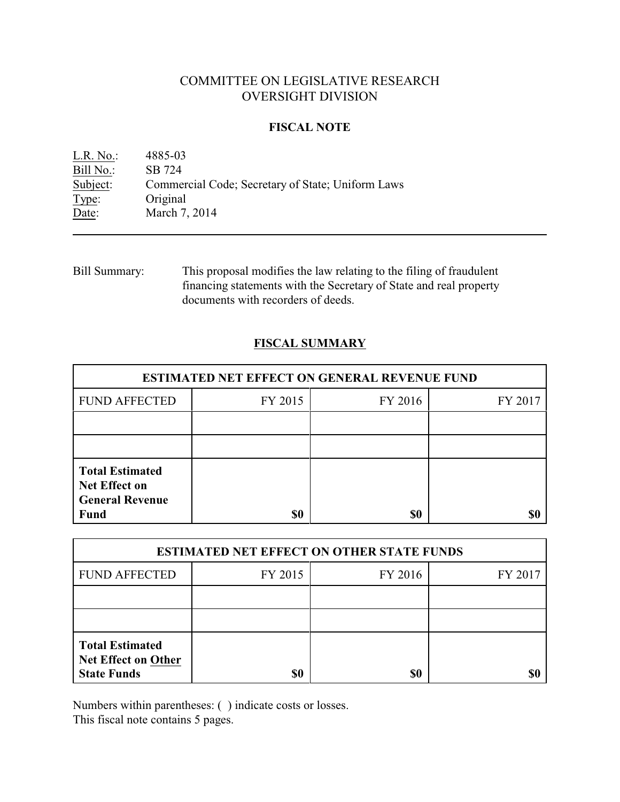# COMMITTEE ON LEGISLATIVE RESEARCH OVERSIGHT DIVISION

### **FISCAL NOTE**

| $L.R. No.$ : | 4885-03                                           |
|--------------|---------------------------------------------------|
| Bill No.:    | SB 724                                            |
| Subject:     | Commercial Code; Secretary of State; Uniform Laws |
| Type:        | Original                                          |
| Date:        | March 7, 2014                                     |
|              |                                                   |

Bill Summary: This proposal modifies the law relating to the filing of fraudulent financing statements with the Secretary of State and real property documents with recorders of deeds.

# **FISCAL SUMMARY**

| <b>ESTIMATED NET EFFECT ON GENERAL REVENUE FUND</b> |         |         |  |  |
|-----------------------------------------------------|---------|---------|--|--|
| FY 2015                                             | FY 2016 | FY 2017 |  |  |
|                                                     |         |         |  |  |
|                                                     |         |         |  |  |
|                                                     |         |         |  |  |
|                                                     | \$0     | \$0     |  |  |

| <b>ESTIMATED NET EFFECT ON OTHER STATE FUNDS</b>                           |         |         |         |  |
|----------------------------------------------------------------------------|---------|---------|---------|--|
| <b>FUND AFFECTED</b>                                                       | FY 2015 | FY 2016 | FY 2017 |  |
|                                                                            |         |         |         |  |
|                                                                            |         |         |         |  |
| <b>Total Estimated</b><br><b>Net Effect on Other</b><br><b>State Funds</b> | \$0     | \$0     |         |  |

Numbers within parentheses: ( ) indicate costs or losses.

This fiscal note contains 5 pages.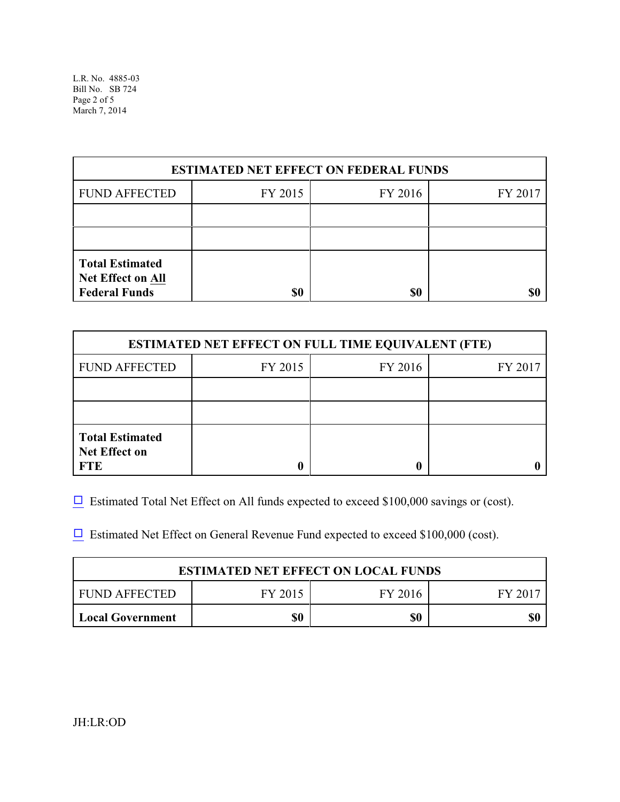L.R. No. 4885-03 Bill No. SB 724 Page 2 of 5 March 7, 2014

| <b>ESTIMATED NET EFFECT ON FEDERAL FUNDS</b>                               |         |         |         |  |
|----------------------------------------------------------------------------|---------|---------|---------|--|
| <b>FUND AFFECTED</b>                                                       | FY 2015 | FY 2016 | FY 2017 |  |
|                                                                            |         |         |         |  |
|                                                                            |         |         |         |  |
| <b>Total Estimated</b><br><b>Net Effect on All</b><br><b>Federal Funds</b> | \$0     | \$0     |         |  |

| <b>ESTIMATED NET EFFECT ON FULL TIME EQUIVALENT (FTE)</b>    |         |                    |  |  |  |
|--------------------------------------------------------------|---------|--------------------|--|--|--|
| <b>FUND AFFECTED</b>                                         | FY 2015 | FY 2016<br>FY 2017 |  |  |  |
|                                                              |         |                    |  |  |  |
|                                                              |         |                    |  |  |  |
| <b>Total Estimated</b><br><b>Net Effect on</b><br><b>FTE</b> |         |                    |  |  |  |

 $\Box$  Estimated Total Net Effect on All funds expected to exceed \$100,000 savings or (cost).

 $\Box$  Estimated Net Effect on General Revenue Fund expected to exceed \$100,000 (cost).

| <b>ESTIMATED NET EFFECT ON LOCAL FUNDS</b> |         |         |       |  |
|--------------------------------------------|---------|---------|-------|--|
| FUND AFFECTED                              | FY 2015 | FY 2016 | FV 20 |  |
| <b>Local Government</b>                    | \$0     | \$0     | \$(   |  |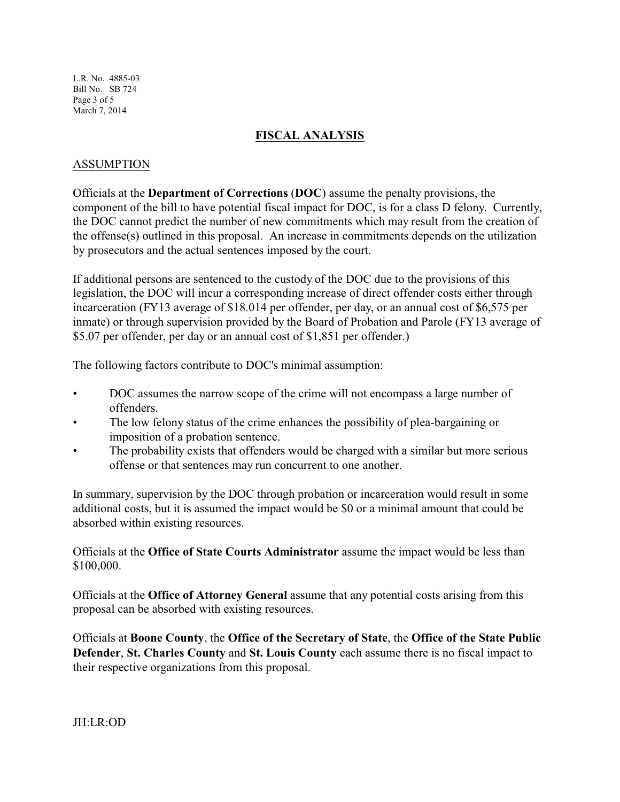L.R. No. 4885-03 Bill No. SB 724 Page 3 of 5 March 7, 2014

## **FISCAL ANALYSIS**

## ASSUMPTION

Officials at the **Department of Corrections** (**DOC**) assume the penalty provisions, the component of the bill to have potential fiscal impact for DOC, is for a class D felony. Currently, the DOC cannot predict the number of new commitments which may result from the creation of the offense(s) outlined in this proposal. An increase in commitments depends on the utilization by prosecutors and the actual sentences imposed by the court.

If additional persons are sentenced to the custody of the DOC due to the provisions of this legislation, the DOC will incur a corresponding increase of direct offender costs either through incarceration (FY13 average of \$18.014 per offender, per day, or an annual cost of \$6,575 per inmate) or through supervision provided by the Board of Probation and Parole (FY13 average of \$5.07 per offender, per day or an annual cost of \$1,851 per offender.)

The following factors contribute to DOC's minimal assumption:

- DOC assumes the narrow scope of the crime will not encompass a large number of offenders.
- The low felony status of the crime enhances the possibility of plea-bargaining or imposition of a probation sentence.
- The probability exists that offenders would be charged with a similar but more serious offense or that sentences may run concurrent to one another.

In summary, supervision by the DOC through probation or incarceration would result in some additional costs, but it is assumed the impact would be \$0 or a minimal amount that could be absorbed within existing resources.

Officials at the **Office of State Courts Administrator** assume the impact would be less than \$100,000.

Officials at the **Office of Attorney General** assume that any potential costs arising from this proposal can be absorbed with existing resources.

Officials at **Boone County**, the **Office of the Secretary of State**, the **Office of the State Public Defender**, **St. Charles County** and **St. Louis County** each assume there is no fiscal impact to their respective organizations from this proposal.

JH:LR:OD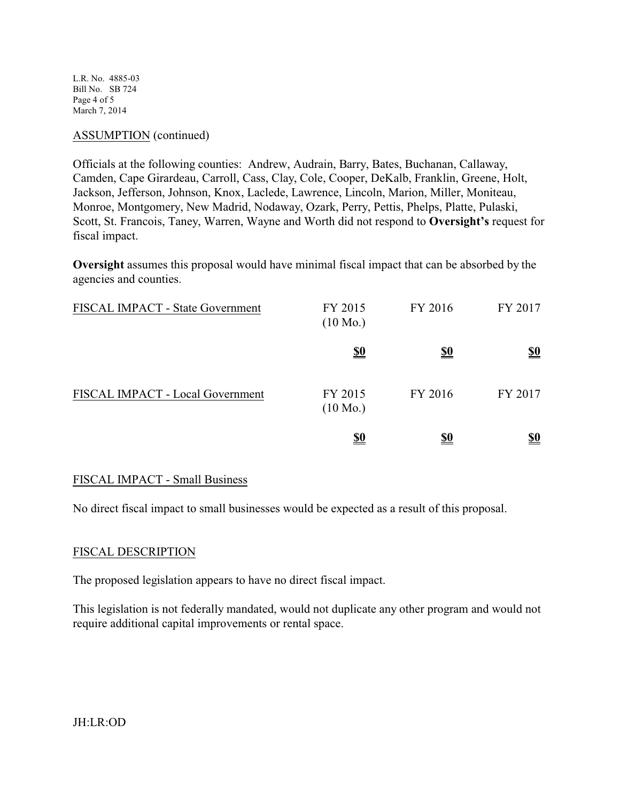L.R. No. 4885-03 Bill No. SB 724 Page 4 of 5 March 7, 2014

#### ASSUMPTION (continued)

Officials at the following counties: Andrew, Audrain, Barry, Bates, Buchanan, Callaway, Camden, Cape Girardeau, Carroll, Cass, Clay, Cole, Cooper, DeKalb, Franklin, Greene, Holt, Jackson, Jefferson, Johnson, Knox, Laclede, Lawrence, Lincoln, Marion, Miller, Moniteau, Monroe, Montgomery, New Madrid, Nodaway, Ozark, Perry, Pettis, Phelps, Platte, Pulaski, Scott, St. Francois, Taney, Warren, Wayne and Worth did not respond to **Oversight's** request for fiscal impact.

**Oversight** assumes this proposal would have minimal fiscal impact that can be absorbed by the agencies and counties.

| FISCAL IMPACT - State Government | FY 2015<br>$(10 \text{ Mo.})$ | FY 2016    | FY 2017    |
|----------------------------------|-------------------------------|------------|------------|
|                                  | <u>\$0</u>                    | <u>\$0</u> | <u>\$0</u> |
| FISCAL IMPACT - Local Government | FY 2015<br>$(10 \text{ Mo.})$ | FY 2016    | FY 2017    |
|                                  | <u>\$0</u>                    | <u>\$0</u> | <u>\$0</u> |

#### FISCAL IMPACT - Small Business

No direct fiscal impact to small businesses would be expected as a result of this proposal.

#### FISCAL DESCRIPTION

The proposed legislation appears to have no direct fiscal impact.

This legislation is not federally mandated, would not duplicate any other program and would not require additional capital improvements or rental space.